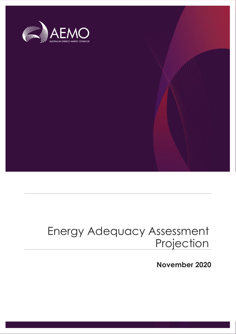

## Energy Adequacy Assessment **Projection**

**November 2020**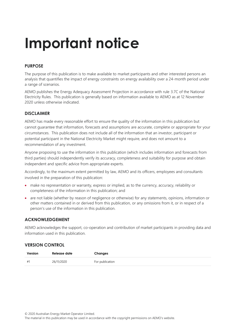# **Important notice**

### **PURPOSE**

The purpose of this publication is to make available to market participants and other interested persons an analysis that quantifies the impact of energy constraints on energy availability over a 24-month period under a range of scenarios.

AEMO publishes the Energy Adequacy Assessment Projection in accordance with rule 3.7C of the National Electricity Rules. This publication is generally based on information available to AEMO as at 12 November 2020 unless otherwise indicated.

### **DISCLAIMER**

AEMO has made every reasonable effort to ensure the quality of the information in this publication but cannot guarantee that information, forecasts and assumptions are accurate, complete or appropriate for your circumstances. This publication does not include all of the information that an investor, participant or potential participant in the National Electricity Market might require, and does not amount to a recommendation of any investment.

Anyone proposing to use the information in this publication (which includes information and forecasts from third parties) should independently verify its accuracy, completeness and suitability for purpose and obtain independent and specific advice from appropriate experts.

Accordingly, to the maximum extent permitted by law, AEMO and its officers, employees and consultants involved in the preparation of this publication:

- make no representation or warranty, express or implied, as to the currency, accuracy, reliability or completeness of the information in this publication; and
- are not liable (whether by reason of negligence or otherwise) for any statements, opinions, information or other matters contained in or derived from this publication, or any omissions from it, or in respect of a person's use of the information in this publication.

### **ACKNOWLEDGEMENT**

AEMO acknowledges the support, co-operation and contribution of market participants in providing data and information used in this publication.

### **VERSION CONTROL**

| Version | Release date | Changes         |
|---------|--------------|-----------------|
| #1      | 26/11/2020   | For publication |

The material in this publication may be used in accordance with the [copyright permissions on AEMO's website](http://aemo.com.au/Privacy_and_Legal_Notices/Copyright_Permissions_Notice).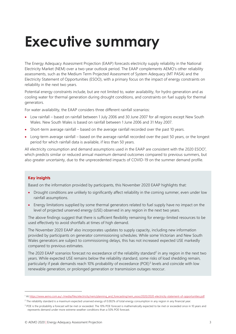# <span id="page-2-0"></span>**Executive summary**

The Energy Adequacy Assessment Projection (EAAP) forecasts electricity supply reliability in the National Electricity Market (NEM) over a two-year outlook period. The EAAP complements AEMO's other reliability assessments, such as the Medium Term Projected Assessment of System Adequacy (MT PASA) and the Electricity Statement of Opportunities (ESOO), with a primary focus on the impact of energy constraints on reliability in the next two years.

Potential energy constraints include, but are not limited to, water availability, for hydro generation and as cooling water for thermal generation during drought conditions, and constraints on fuel supply for thermal generators.

For water availability, the EAAP considers three different rainfall scenarios:

- Low rainfall based on rainfall between 1 July 2006 and 30 June 2007 for all regions except New South Wales. New South Wales is based on rainfall between 1 June 2006 and 31 May 2007.
- Short-term average rainfall based on the average rainfall recorded over the past 10 years.
- Long-term average rainfall based on the average rainfall recorded over the past 50 years, or the longest period for which rainfall data is available, if less than 50 years.

All electricity consumption and demand assumptions used in the EAAP are consistent with the 2020 ESOO<sup>1</sup>, which predicts similar or reduced annual maximum demand outcomes compared to previous summers, but also greater uncertainty, due to the unprecedented impacts of COVID-19 on the summer demand profile.

#### **Key insights**

Based on the information provided by participants, this November 2020 EAAP highlights that:

- Drought conditions are unlikely to significantly affect reliability in the coming summer, even under low rainfall assumptions.
- Energy limitations supplied by some thermal generators related to fuel supply have no impact on the level of projected unserved energy (USE) observed in any region in the next two years.

The above findings suggest that there is sufficient flexibility remaining for energy-limited resources to be used effectively to avoid shortfalls at times of high demand.

The November 2020 EAAP also incorporates updates to supply capacity, including new information provided by participants on generator commissioning schedules. While some Victorian and New South Wales generators are subject to commissioning delays, this has not increased expected USE markedly compared to previous estimates.

The 2020 EAAP scenarios forecast no exceedance of the reliability standard<sup>2</sup> in any region in the next two years. While expected USE remains below the reliability standard, some risks of load shedding remain, particularly if peak demands reach 10% probability of exceedance (POE)<sup>3</sup> levels and coincide with low renewable generation, or prolonged generation or transmission outages reoccur.

<sup>1</sup> At [https://www.aemo.com.au/-/media/files/electricity/nem/planning\\_and\\_forecasting/nem\\_esoo/2020/2020-electricity-statement-of-opportunities.pdf.](https://www.aemo.com.au/-/media/files/electricity/nem/planning_and_forecasting/nem_esoo/2020/2020-electricity-statement-of-opportunities.pdf)

<sup>&</sup>lt;sup>2</sup> The reliability standard is a maximum expected unserved energy of 0.002% of total energy consumption in any region in any financial year.

<sup>&</sup>lt;sup>3</sup> POE is the probability a forecast will be met or exceeded. The 10% POE forecast is mathematically expected to be met or exceeded once in 10 years and represents demand under more extreme weather conditions than a 50% POE forecast.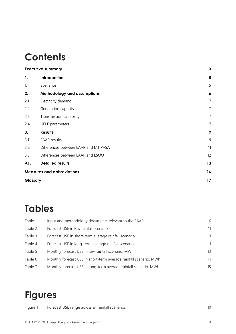## **Contents**

|          | <b>Executive summary</b>             | 3              |
|----------|--------------------------------------|----------------|
| 1.       | Introduction                         | 5              |
| 1.1      | Scenarios                            | 5              |
| 2.       | <b>Methodology and assumptions</b>   | 6              |
| 2.1      | Electricity demand                   | $\overline{7}$ |
| 2.2      | Generation capacity                  | $\overline{7}$ |
| 2.3      | Transmission capability              | $\overline{7}$ |
| 2.4      | <b>GELF</b> parameters               | $\overline{7}$ |
| 3.       | <b>Results</b>                       | 9              |
| 3.1      | <b>EAAP</b> results                  | 9              |
| 3.2      | Differences between EAAP and MT PASA | 11             |
| 3.3      | Differences between EAAP and ESOO    | 12             |
| A1.      | <b>Detailed results</b>              | 13             |
|          | <b>Measures and abbreviations</b>    | 16             |
| Glossary |                                      | 17             |

## **Tables**

| Table 1 | Input and methodology documents relevant to the EAAP              | 6  |
|---------|-------------------------------------------------------------------|----|
| Table 2 | Forecast USE in low rainfall scenario                             | 11 |
| Table 3 | Forecast USE in short-term average rainfall scenario              | 11 |
| Table 4 | Forecast USE in long-term average rainfall scenario               | 11 |
| Table 5 | Monthly forecast USE in low rainfall scenario, MWh                | 13 |
| Table 6 | Monthly forecast USE in short-term average rainfall scenario, MWh | 14 |
| Table 7 | Monthly forecast USE in long-term average rainfall scenario, MWh  | 15 |

## **Figures**

Figure 1 [Forecast USE range across all rainfall scenarios](#page-9-0) 10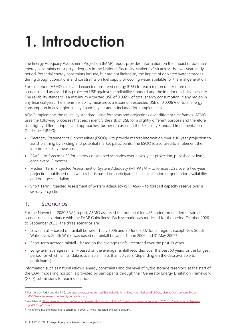# <span id="page-4-0"></span>**1. Introduction**

The Energy Adequacy Assessment Projection (EAAP) report provides information on the impact of potential energy constraints on supply adequacy in the National Electricity Market (NEM) across the two-year study period. Potential energy constraints include, but are not limited to, the impact of depleted water storages during drought conditions and constraints on fuel supply or cooling water available for thermal generation.

For this report, AEMO calculated expected unserved energy (USE) for each region under three rainfall scenarios and assessed this projected USE against the reliability standard and the interim reliability measure. The reliability standard is a maximum expected USE of 0.002% of total energy consumption in any region in any financial year. The interim reliability measure is a maximum expected USE of 0.0006% of total energy consumption in any region in any financial year and is included for completeness.

AEMO implements the reliability standard using forecasts and projections over different timeframes. AEMO uses the following processes that each identify the risk of USE for a slightly different purpose and therefore use slightly different inputs and approaches, further discussed in the Reliability Standard Implementation Guidelines<sup>4</sup> (RSIG):

- Electricity Statement of Opportunities (ESOO) to provide market information over a 10-year projection to assist planning by existing and potential market participants. The ESOO is also used to implement the interim reliability measure.
- EAAP to forecast USE for energy constrained scenarios over a two-year projection, published at least once every 12 months.
- Medium Term Projected Assessment of System Adequacy (MT PASA) to forecast USE over a two-year projection, published on a weekly basis based on participants' best expectation of generation availability and outage scheduling.
- Short Term Projected Assessment of System Adequacy (ST PASA) to forecast capacity reserve over a six-day projection.

### <span id="page-4-1"></span>1.1 Scenarios

For the November 2020 EAAP report, AEMO assessed the potential for USE under three different rainfall scenarios in accordance with the EAAP Guidelines<sup>5</sup>. Each scenario was modelled for the period October 2020 to September 2022. The three scenarios are:

- Low rainfall based on rainfall between 1 July 2006 and 30 June 2007 for all regions except New South Wales. New South Wales was based on rainfall between 1 June 2006 and 31 May 2007<sup>6</sup>.
- Short-term average rainfall based on the average rainfall recorded over the past 10 years.
- Long-term average rainfall based on the average rainfall recorded over the past 50 years, or the longest period for which rainfall data is available, if less than 50 years (depending on the data available to participants).

Information such as natural inflows, energy constraints and the level of hydro storage reservoirs at the start of the EAAP modelling horizon is provided by participants through their Generator Energy Limitation Framework (GELF) submissions for each scenario.

<sup>4</sup> For more on PASA and the RSIG, se[e https://www.aemo.com.au/Electricity/National-Electricity-Market-NEM/Data/Market-Management-System-](https://www.aemo.com.au/Electricity/National-Electricity-Market-NEM/Data/Market-Management-System-MMS/Projected-Assessment-of-System-Adequacy)[MMS/Projected-Assessment-of-System-Adequacy.](https://www.aemo.com.au/Electricity/National-Electricity-Market-NEM/Data/Market-Management-System-MMS/Projected-Assessment-of-System-Adequacy)

<sup>5</sup> Available a[t https://www.aemo.com.au/-/media/files/stakeholder\\_consultation/consultations/nem-consultations/2020/rsig/final-documents/eaap](https://www.aemo.com.au/-/media/files/stakeholder_consultation/consultations/nem-consultations/2020/rsig/final-documents/eaap-guidelines.pdf?la=en)[guidelines.pdf?la=en.](https://www.aemo.com.au/-/media/files/stakeholder_consultation/consultations/nem-consultations/2020/rsig/final-documents/eaap-guidelines.pdf?la=en)

<sup>&</sup>lt;sup>6</sup> The inflows into the major hydro schemes in 2006-07 were impacted by severe drought.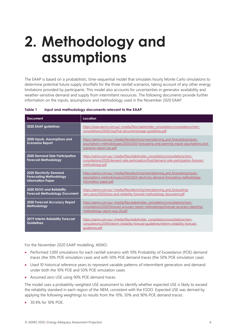# <span id="page-5-0"></span>**2. Methodology and assumptions**

The EAAP is based on a probabilistic, time-sequential model that simulates hourly Monte Carlo simulations to determine potential future supply shortfalls for the three rainfall scenarios, taking account of any other energy limitations provided by participants. This model also accounts for uncertainties in generator availability and weather-sensitive demand and supply from intermittent resources. The following documents provide further information on the inputs, assumptions and methodology used in the November 2020 EAAP.

| <b>Document</b>                                                                              | Location                                                                                                                                                                                                |
|----------------------------------------------------------------------------------------------|---------------------------------------------------------------------------------------------------------------------------------------------------------------------------------------------------------|
| 2020 EAAP guidelines                                                                         | https://www.aemo.com.au/-/media/files/stakeholder_consultation/consultations/nem-<br>consultations/2020/rsig/final-documents/eaap-quidelines.pdf.                                                       |
| 2020 Inputs, Assumptions and<br><b>Scenarios Report</b>                                      | https://aemo.com.au/-/media/files/electricity/nem/planning and forecasting/inputs-<br>assumptions-methodologies/2020/2020-forecasting-and-planning-inputs-assumptions-and-<br>scenarios-report-iasr.pdf |
| <b>2020 Demand Side Participation</b><br><b>Forecast Methodology</b>                         | https://aemo.com.au/-/media/files/stakeholder_consultation/consultations/nem-<br>consultations/2020/demand-side-participation/final/demand-side-participation-forecast-<br>methodology.pdf              |
| <b>2020 Electricity Demand</b><br><b>Forecasting Methodology</b><br><b>Information Paper</b> | https://aemo.com.au/-/media/files/electricity/nem/planning and forecasting/inputs-<br>assumptions-methodologies/2020/2020-electricity-demand-forecasting-methodology-<br>information-paper.pdf          |
| 2020 ESOO and Reliability<br><b>Forecast Methodology Document</b>                            | https://aemo.com.au/-/media/files/electricity/nem/planning and forecasting/<br>nem_esoo/2020/esoo-and-reliability-forecast-methodology-document.pdf                                                     |
| <b>2020 Forecast Accuracy Report</b><br>Methodology                                          | https://aemo.com.au/-/media/files/stakeholder_consultation/consultations/nem-<br>consultations/2020/forecast-accuracy-report-methodology/forecast-accuracy-reporting-<br>methodology-report-aug-20.pdf  |
| <b>2019 Interim Reliability Forecast</b><br><b>Guidelines</b>                                | https://aemo.com.au/-/media/files/stakeholder_consultation/consultations/nem-<br>consultations/2019/interim-reliability-forecast-quidelines/interim-reliability-forecast-<br>quidelines.pdf             |

#### <span id="page-5-1"></span>**Table 1 Input and methodology documents relevant to the EAAP**

For the November 2020 EAAP modelling, AEMO:

- Performed 1,000 simulations for each rainfall scenario with 10% Probability of Exceedance (POE) demand traces (the 10% POE simulation case) and with 50% POE demand traces (the 50% POE simulation case).
- Used 10 historical reference years to represent variable patterns of intermittent generation and demand under both the 10% POE and 50% POE simulation cases.
- Assumed zero USE using 90% POE demand traces.

The model uses a probability-weighted USE assessment to identify whether expected USE is likely to exceed the reliability standard in each region of the NEM, consistent with the ESOO. Expected USE was derived by applying the following weightings to results from the 10%, 50% and 90% POE demand traces:

• 30.4% for 10% POF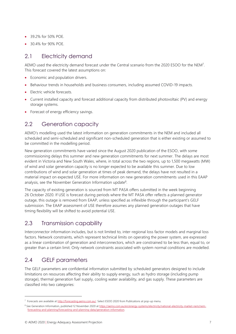- 39.2% for 50% POE.
- 30.4% for 90% POE.

### <span id="page-6-0"></span>2.1 Electricity demand

AEMO used the electricity demand forecast under the Central scenario from the 2020 ESOO for the NEM<sup>7</sup>. This forecast covered the latest assumptions on:

- Economic and population drivers.
- Behaviour trends in households and business consumers, including assumed COVID-19 impacts.
- Electric vehicle forecasts.
- Current installed capacity and forecast additional capacity from distributed photovoltaic (PV) and energy storage systems.
- Forecast of energy efficiency savings.

### <span id="page-6-1"></span>2.2 Generation capacity

AEMO's modelling used the latest information on generation commitments in the NEM and included all scheduled and semi-scheduled and significant non-scheduled generation that is either existing or assumed to be committed in the modelling period.

New generation commitments have varied since the August 2020 publication of the ESOO, with some commissioning delays this summer and new generation commitments for next summer. The delays are most evident in Victoria and New South Wales, where, in total across the two regions, up to 1,500 megawatts (MW) of wind and solar generation capacity is no longer expected to be available this summer. Due to low contributions of wind and solar generation at times of peak demand, the delays have not resulted in a material impact on expected USE. For more information on new generation commitments used in this EAAP analysis, see the November Generation Information update<sup>8</sup>.

The capacity of existing generation is sourced from MT PASA offers submitted in the week beginning 26 October 2020. If USE is forecast during periods where the MT PASA offer reflects a planned generator outage, this outage is removed from EAAP, unless specified as inflexible through the participant's GELF submission. The EAAP assessment of USE therefore assumes any planned generation outages that have timing flexibility will be shifted to avoid potential USE.

### <span id="page-6-2"></span>2.3 Transmission capability

Interconnector information includes, but is not limited to, inter-regional loss factor models and marginal loss factors. Network constraints, which represent technical limits on operating the power system, are expressed as a linear combination of generation and interconnectors, which are constrained to be less than, equal to, or greater than a certain limit. Only network constraints associated with system normal conditions are modelled.

### <span id="page-6-3"></span>2.4 GELF parameters

The GELF parameters are confidential information submitted by scheduled generators designed to include limitations on resources affecting their ability to supply energy, such as hydro storage (including pump storage), thermal generation fuel supply, cooling water availability, and gas supply. These parameters are classified into two categories:

<sup>&</sup>lt;sup>7</sup> Forecasts are available a[t http://forecasting.aemo.com.au/.](http://forecasting.aemo.com.au/) Select ESOO 2020 from Publications at pop-up menu.

<sup>8</sup> See Generation Information, published 12 November 2020 a[t https://aemo.com.au/en/energy-systems/electricity/national-electricity-market-nem/nem](https://aemo.com.au/en/energy-systems/electricity/national-electricity-market-nem/nem-forecasting-and-planning/forecasting-and-planning-data/generation-information)[forecasting-and-planning/forecasting-and-planning-data/generation-information.](https://aemo.com.au/en/energy-systems/electricity/national-electricity-market-nem/nem-forecasting-and-planning/forecasting-and-planning-data/generation-information)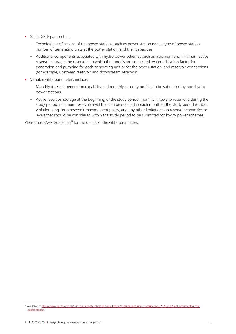- Static GELF parameters:
	- Technical specifications of the power stations, such as power station name, type of power station, number of generating units at the power station, and their capacities.
	- Additional components associated with hydro power schemes such as maximum and minimum active reservoir storage, the reservoirs to which the tunnels are connected, water utilisation factor for generation and pumping for each generating unit or for the power station, and reservoir connections (for example, upstream reservoir and downstream reservoir).
- Variable GELF parameters include:
	- Monthly forecast generation capability and monthly capacity profiles to be submitted by non-hydro power stations.
	- Active reservoir storage at the beginning of the study period, monthly inflows to reservoirs during the study period, minimum reservoir level that can be reached in each month of the study period without violating long-term reservoir management policy, and any other limitations on reservoir capacities or levels that should be considered within the study period to be submitted for hydro power schemes.

Please see EAAP Guidelines<sup>9</sup> for the details of the GELF parameters.

<sup>9</sup> Available a[t https://www.aemo.com.au/-/media/files/stakeholder\\_consultation/consultations/nem-consultations/2020/rsig/final-documents/eaap](https://www.aemo.com.au/-/media/files/stakeholder_consultation/consultations/nem-consultations/2020/rsig/final-documents/eaap-guidelines.pdf)[guidelines.pdf.](https://www.aemo.com.au/-/media/files/stakeholder_consultation/consultations/nem-consultations/2020/rsig/final-documents/eaap-guidelines.pdf)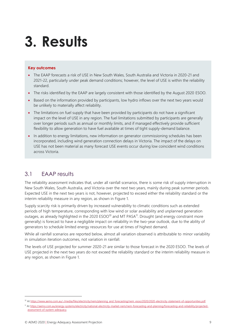# <span id="page-8-0"></span>**3. Results**

#### **Key outcomes**

- The EAAP forecasts a risk of USE in New South Wales, South Australia and Victoria in 2020-21 and 2021-22, particularly under peak demand conditions; however, the level of USE is within the reliability standard.
- The risks identified by the EAAP are largely consistent with those identified by the August 2020 ESOO.
- Based on the information provided by participants, low hydro inflows over the next two years would be unlikely to materially affect reliability.
- The limitations on fuel supply that have been provided by participants do not have a significant impact on the level of USE in any region. The fuel limitations submitted by participants are generally over longer periods such as annual or monthly limits, and if managed effectively provide sufficient flexibility to allow generation to have fuel available at times of tight supply-demand balance.
- In addition to energy limitations, new information on generator commissioning schedules has been incorporated, including wind generation connection delays in Victoria. The impact of the delays on USE has not been material as many forecast USE events occur during low coincident wind conditions across Victoria.

### <span id="page-8-1"></span>3.1 EAAP results

The reliability assessment indicates that, under all rainfall scenarios, there is some risk of supply interruption in New South Wales, South Australia, and Victoria over the next two years, mainly during peak summer periods. Expected USE in the next two years is not, however, projected to exceed either the reliability standard or the interim reliability measure in any region, as shown in [Figure 1.](#page-9-0)

Supply scarcity risk is primarily driven by increased vulnerability to climatic conditions such as extended periods of high temperature, corresponding with low wind or solar availability and unplanned generation outages, as already highlighted in the 2020 ESOO<sup>10</sup> and MT PASA<sup>11</sup>. Drought (and energy constraint more generally) is forecast to have a negligible impact on reliability in the two-year outlook, due to the ability of generators to schedule limited energy resources for use at times of highest demand.

While all rainfall scenarios are reported below, almost all variation observed is attributable to minor variability in simulation iteration outcomes, not variation in rainfall.

The levels of USE projected for summer 2020-21 are similar to those forecast in the 2020 ESOO. The levels of USE projected in the next two years do not exceed the reliability standard or the interim reliability measure in any region, as shown in [Figure 1.](#page-9-0)

<sup>10</sup> A[t https://www.aemo.com.au/-/media/files/electricity/nem/planning\\_and\\_forecasting/nem\\_esoo/2020/2020-electricity-statement-of-opportunities.pdf.](https://www.aemo.com.au/-/media/files/electricity/nem/planning_and_forecasting/nem_esoo/2020/2020-electricity-statement-of-opportunities.pdf)

<sup>11</sup> A[t https://aemo.com.au/energy-systems/electricity/national-electricity-market-nem/nem-forecasting-and-planning/forecasting-and-reliability/projected](https://aemo.com.au/energy-systems/electricity/national-electricity-market-nem/nem-forecasting-and-planning/forecasting-and-reliability/projected-assessment-of-system-adequacy)[assessment-of-system-adequacy.](https://aemo.com.au/energy-systems/electricity/national-electricity-market-nem/nem-forecasting-and-planning/forecasting-and-reliability/projected-assessment-of-system-adequacy)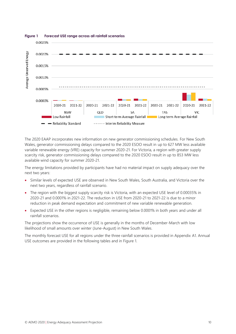

#### <span id="page-9-0"></span>**Figure 1 Forecast USE range across all rainfall scenarios**

The 2020 EAAP incorporates new information on new generator commissioning schedules. For New South Wales, generator commissioning delays compared to the 2020 ESOO result in up to 627 MW less available variable renewable energy (VRE) capacity for summer 2020-21. For Victoria, a region with greater supply scarcity risk, generator commissioning delays compared to the 2020 ESOO result in up to 853 MW less available wind capacity for summer 2020-21.

The energy limitations provided by participants have had no material impact on supply adequacy over the next two years:

- Similar levels of expected USE are observed in New South Wales, South Australia, and Victoria over the next two years, regardless of rainfall scenario.
- The region with the biggest supply scarcity risk is Victoria, with an expected USE level of 0.00035% in 2020-21 and 0.0001% in 2021-22. The reduction in USE from 2020-21 to 2021-22 is due to a minor reduction in peak demand expectation and commitment of new variable renewable generation.
- Expected USE in the other regions is negligible, remaining below 0.0001% in both years and under all rainfall scenarios.

The projections show the occurrence of USE is generally in the months of December-March with low likelihood of small amounts over winter (June-August) in New South Wales.

The monthly forecast USE for all regions under the three rainfall scenarios is provided in Appendix A1. Annual USE outcomes are provided in the following tables and in Figure 1.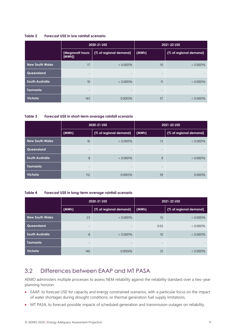#### <span id="page-10-1"></span>**Table 2 Forecast USE in low rainfall scenario**

|                        |                           | 2020-21 USE              | 2021-22 USE              |                        |  |
|------------------------|---------------------------|--------------------------|--------------------------|------------------------|--|
|                        | (Megawatt hours)<br>[MWh] | (% of regional demand)   | (MWh)                    | (% of regional demand) |  |
| <b>New South Wales</b> | 17                        | $< 0.0001\%$             | 10                       | $< 0.0001\%$           |  |
| Queensland             | $\qquad \qquad -$         | $-$                      | $\overline{\phantom{a}}$ |                        |  |
| <b>South Australia</b> | 10                        | $< 0.0001\%$             | 11                       | $< 0.0001\%$           |  |
| <b>Tasmania</b>        | $\qquad \qquad$           | $\overline{\phantom{0}}$ | $\overline{\phantom{a}}$ |                        |  |
| <b>Victoria</b>        | 143                       | 0.0003%                  | 37                       | $< 0.0001\%$           |  |

#### <span id="page-10-2"></span>**Table 3 Forecast USE in short-term average rainfall scenario**

|                        |                   | 2020-21 USE              | 2021-22 USE                    |                        |  |
|------------------------|-------------------|--------------------------|--------------------------------|------------------------|--|
|                        | (MWh)             | (% of regional demand)   | $\mid$ (MWh)                   | (% of regional demand) |  |
| <b>New South Wales</b> | 16                | $< 0.0001\%$             | 13                             | $< 0.0001\%$           |  |
| Queensland             | $\qquad \qquad -$ | $\overline{\phantom{a}}$ | $\overline{\phantom{0}}$       |                        |  |
| <b>South Australia</b> | 8                 | $< 0.0001\%$             | 9                              | $< 0.0001\%$           |  |
| <b>Tasmania</b>        | $\qquad \qquad -$ | $\overline{\phantom{0}}$ | $\qquad \qquad =\qquad \qquad$ |                        |  |
| <b>Victoria</b>        | 112               | 0.0003%                  | 39                             | 0.0001%                |  |

#### <span id="page-10-3"></span>**Table 4 Forecast USE in long-term average rainfall scenario**

|                        |                          | 2020-21 USE              | 2021-22 USE                    |                        |  |
|------------------------|--------------------------|--------------------------|--------------------------------|------------------------|--|
|                        | (MWh)                    | (% of regional demand)   | (MWh)                          | (% of regional demand) |  |
| <b>New South Wales</b> | 23                       | $< 0.0001\%$             | 15                             | $< 0.0001\%$           |  |
| Queensland             | $\overline{\phantom{a}}$ | $\overline{\phantom{a}}$ | 0.03                           | $< 0.0001\%$           |  |
| <b>South Australia</b> | 8                        | $< 0.0001\%$             | 10                             | $< 0.0001\%$           |  |
| <b>Tasmania</b>        | $\overline{\phantom{a}}$ | $\overline{\phantom{0}}$ | $\qquad \qquad =\qquad \qquad$ |                        |  |
| <b>Victoria</b>        | 146                      | 0.0004%                  | 31                             | $< 0.0001\%$           |  |

### <span id="page-10-0"></span>3.2 Differences between EAAP and MT PASA

AEMO administers multiple processes to assess NEM reliability against the reliability standard over a two-year planning horizon:

- EAAP, to forecast USE for capacity and energy constrained scenarios, with a particular focus on the impact of water shortages during drought conditions, or thermal generation fuel supply limitations.
- MT PASA, to forecast possible impacts of scheduled generation and transmission outages on reliability.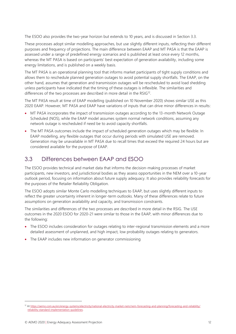The ESOO also provides the two-year horizon but extends to 10 years, and is discussed in Section [3.3.](#page-11-0)

These processes adopt similar modelling approaches, but use slightly different inputs, reflecting their different purposes and frequency of projections. The main difference between EAAP and MT PASA is that the EAAP is assessed under a range of predefined energy scenarios and is published at least once every 12 months, whereas the MT PASA is based on participants' best expectation of generation availability, including some energy limitations, and is published on a weekly basis.

The MT PASA is an operational planning tool that informs market participants of tight supply conditions and allows them to reschedule planned generation outages to avoid potential supply shortfalls. The EAAP, on the other hand, assumes that generation and transmission outages will be rescheduled to avoid load shedding unless participants have indicated that the timing of these outages is inflexible. The similarities and differences of the two processes are described in more detail in the RSIG<sup>12</sup>.

The MT PASA result at time of EAAP modelling (published on 10 November 2020) shows similar USE as this 2020 EAAP. However, MT PASA and EAAP have variations of inputs that can drive minor differences in results:

- MT PASA incorporates the impact of transmission outages according to the 13-month Network Outage Scheduled (NOS), while the EAAP model assumes system normal network conditions, assuming any network outage is rescheduled if need be to avoid capacity shortfalls.
- The MT PASA outcomes include the impact of scheduled generation outages which may be flexible. In EAAP modelling, any flexible outages that occur during periods with simulated USE are removed. Generation may be unavailable in MT PASA due to recall times that exceed the required 24 hours but are considered available for the purpose of EAAP.

### <span id="page-11-0"></span>3.3 Differences between EAAP and ESOO

The ESOO provides technical and market data that informs the decision-making processes of market participants, new investors, and jurisdictional bodies as they assess opportunities in the NEM over a 10-year outlook period, focusing on information about future supply adequacy. It also provides reliability forecasts for the purposes of the Retailer Reliability Obligation.

The ESOO adopts similar Monte Carlo modelling techniques to EAAP, but uses slightly different inputs to reflect the greater uncertainty inherent in longer-term outlooks. Many of these differences relate to future assumptions on generation availability and capacity, and transmission constraints.

The similarities and differences of the two processes are described in more detail in the RSIG. The USE outcomes in the 2020 ESOO for 2020-21 were similar to those in the EAAP, with minor differences due to the following:

- The ESOO includes consideration for outages relating to inter-regional transmission elements and a more detailed assessment of unplanned, and high impact, low probability outages relating to generators.
- The EAAP includes new information on generator commissioning

<sup>12</sup> A[t https://aemo.com.au/en/energy-systems/electricity/national-electricity-market-nem/nem-forecasting-and-planning/forecasting-and-reliability/](https://aemo.com.au/en/energy-systems/electricity/national-electricity-market-nem/nem-forecasting-and-planning/forecasting-and-reliability/reliability-standard-implementation-guidelines) [reliability-standard-implementation-guidelines.](https://aemo.com.au/en/energy-systems/electricity/national-electricity-market-nem/nem-forecasting-and-planning/forecasting-and-reliability/reliability-standard-implementation-guidelines)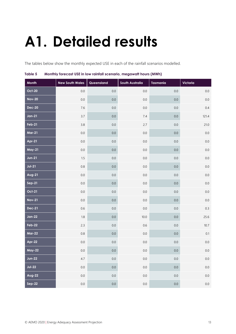# <span id="page-12-0"></span>**A1. Detailed results**

The tables below show the monthly expected USE in each of the rainfall scenarios modelled.

| Month         | <b>New South Wales</b> | Queensland | <b>South Australia</b> | <b>Tasmania</b> | Victoria |
|---------------|------------------------|------------|------------------------|-----------------|----------|
| <b>Oct-20</b> | $0.0\,$                | $0.0\,$    | $0.0\,$                | $0.0\,$         | $0.0\,$  |
| <b>Nov-20</b> | $0.0\,$                | $0.0\,$    | $0.0\,$                | $0.0\,$         | 0.0      |
| <b>Dec-20</b> | $7.6\,$                | $0.0\,$    | $0.0\,$                | 0.0             | 0.4      |
| $Jan-21$      | 3.7                    | $0.0\,$    | 7.4                    | $0.0\,$         | 121.4    |
| <b>Feb-21</b> | 3.8                    | $0.0\,$    | 2.7                    | 0.0             | 21.0     |
| <b>Mar-21</b> | $0.0\,$                | $0.0\,$    | $0.0\,$                | $0.0\,$         | $0.0\,$  |
| Apr-21        | $0.0\,$                | $0.0\,$    | $0.0\,$                | $0.0\,$         | $0.0\,$  |
| <b>May-21</b> | $0.0\,$                | $0.0\,$    | $0.0\,$                | $0.0\,$         | $0.0\,$  |
| $Jun-21$      | 1.5                    | $0.0\,$    | $0.0\,$                | $0.0\,$         | $0.0\,$  |
| $Jul-21$      | $0.8\,$                | $0.0\,$    | $0.0\,$                | $0.0\,$         | $0.0\,$  |
| Aug-21        | $0.0\,$                | $0.0\,$    | $0.0\,$                | $0.0\,$         | $0.0\,$  |
| $Sep-21$      | $0.0\,$                | $0.0\,$    | $0.0\,$                | $0.0\,$         | 0.0      |
| <b>Oct-21</b> | $0.0\,$                | $0.0\,$    | $0.0\,$                | $0.0\,$         | 0.0      |
| <b>Nov-21</b> | $0.0\,$                | $0.0\,$    | $0.0\,$                | $0.0\,$         | 0.0      |
| <b>Dec-21</b> | 0.6                    | $0.0\,$    | $0.0\,$                | $0.0\,$         | 0.3      |
| $Jan-22$      | 1.8                    | $0.0\,$    | $10.0$                 | $0.0\,$         | 25.6     |
| Feb-22        | 2.3                    | $0.0\,$    | 0.6                    | $0.0\,$         | $10.7$   |
| <b>Mar-22</b> | $0.8\,$                | $0.0\,$    | $0.0\,$                | $0.0\,$         | 0.1      |
| Apr-22        | $0.0\,$                | $0.0\,$    | $0.0\,$                | $0.0\,$         | $0.0\,$  |
| <b>May-22</b> | $0.0\,$                | $0.0\,$    | 0.0                    | 0.0             | $0.0\,$  |
| <b>Jun-22</b> | 4.7                    | 0.0        | 0.0                    | $0.0\,$         | $0.0\,$  |
| $Jul-22$      | $0.0\,$                | 0.0        | 0.0                    | $0.0\,$         | $0.0\,$  |
| Aug-22        | 0.0                    | $0.0\,$    | 0.0                    | $0.0\,$         | $0.0\,$  |
| $Sep-22$      | 0.0                    | 0.0        | 0.0                    | 0.0             | $0.0\,$  |

#### <span id="page-12-1"></span>**Table 5 Monthly forecast USE in low rainfall scenario, megawatt hours (MWh)**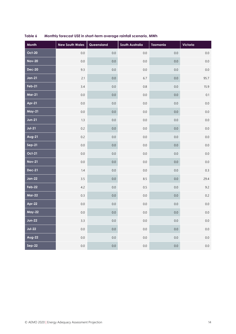| Month         | <b>New South Wales</b> | Queensland | South Australia | <b>Tasmania</b> | Victoria |
|---------------|------------------------|------------|-----------------|-----------------|----------|
| <b>Oct-20</b> | $0.0\,$                | $0.0\,$    | 0.0             | $0.0\,$         | $0.0\,$  |
| <b>Nov-20</b> | $0.0\,$                | $0.0\,$    | $0.0\,$         | 0.0             | $0.0\,$  |
| <b>Dec-20</b> | 9.3                    | $0.0\,$    | $0.0\,$         | $0.0\,$         | $0.0\,$  |
| $Jan-21$      | 2.1                    | $0.0\,$    | 6.7             | $0.0\,$         | 95.7     |
| $Feb-21$      | 3.4                    | $0.0\,$    | $0.8\,$         | $0.0\,$         | 15.9     |
| <b>Mar-21</b> | $0.0\,$                | $0.0\,$    | $0.0\,$         | $0.0\,$         | 0.1      |
| Apr-21        | $0.0\,$                | $0.0\,$    | $0.0\,$         | $0.0\,$         | $0.0\,$  |
| <b>May-21</b> | $0.0\,$                | $0.0\,$    | $0.0\,$         | $0.0\,$         | $0.0\,$  |
| $Jun-21$      | $1.3\,$                | $0.0\,$    | $0.0\,$         | $0.0\,$         | $0.0\,$  |
| $Jul-21$      | $0.2\,$                | $0.0\,$    | $0.0\,$         | $0.0\,$         | $0.0\,$  |
| Aug-21        | $0.2\,$                | $0.0\,$    | $0.0\,$         | $0.0\,$         | $0.0\,$  |
| $Sep-21$      | $0.0\,$                | $0.0\,$    | $0.0\,$         | $0.0\,$         | $0.0\,$  |
| <b>Oct-21</b> | $0.0\,$                | $0.0\,$    | $0.0\,$         | $0.0\,$         | $0.0\,$  |
| <b>Nov-21</b> | $0.0\,$                | $0.0\,$    | $0.0\,$         | 0.0             | $0.0\,$  |
| <b>Dec-21</b> | 1.4                    | $0.0\,$    | $0.0\,$         | $0.0\,$         | $0.3\,$  |
| $Jan-22$      | 3.5                    | $0.0\,$    | 8.5             | $0.0\,$         | 29.4     |
| Feb-22        | 4.2                    | $0.0\,$    | 0.5             | $0.0\,$         | 9.2      |
| <b>Mar-22</b> | 0.3                    | $0.0\,$    | $0.0\,$         | 0.0             | $0.2\,$  |
| Apr-22        | $0.0\,$                | $0.0\,$    | $0.0\,$         | $0.0\,$         | $0.0\,$  |
| <b>May-22</b> | $0.0\,$                | $0.0\,$    | 0.0             | $0.0\,$         | $0.0\,$  |
| $Jun-22$      | 3.3                    | $0.0\,$    | 0.0             | $0.0\,$         | $0.0\,$  |
| $Jul-22$      | $0.0\,$                | $0.0\,$    | $0.0\,$         | $0.0\,$         | $0.0\,$  |
| Aug-22        | $0.0\,$                | $0.0\,$    | $0.0\,$         | $0.0\,$         | $0.0\,$  |
| $Sep-22$      | 0.0                    | 0.0        | 0.0             | $0.0\,$         | $0.0\,$  |

### <span id="page-13-0"></span>**Table 6 Monthly forecast USE in short-term average rainfall scenario, MWh**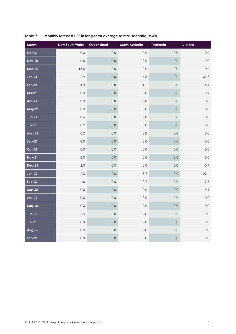| <b>Month</b>  | <b>New South Wales</b> | Queensland | South Australia | <b>Tasmania</b> | Victoria |
|---------------|------------------------|------------|-----------------|-----------------|----------|
| <b>Oct-20</b> | 0.0                    | 0.0        | 0.0             | 0.0             | $0.0\,$  |
| <b>Nov-20</b> | 0.5                    | 0.0        | 0.0             | 0.0             | 0.0      |
| <b>Dec-20</b> | 13.5                   | 0.0        | 0.0             | 0.0             | $0.0\,$  |
| $Jan-21$      | 2.9                    | 0.0        | $6.8$           | $0.0\,$         | 130.3    |
| $Feb-21$      | 4.3                    | 0.0        | 1.1             | 0.0             | 15.1     |
| <b>Mar-21</b> | 0.0                    | 0.0        | 0.0             | 0.0             | 0.2      |
| Apr-21        | 0.0                    | 0.0        | 0.0             | 0.0             | 0.0      |
| <b>May-21</b> | $0.0\,$                | 0.0        | 0.0             | 0.0             | 0.0      |
| $Jun-21$      | 0.6                    | 0.0        | 0.0             | $0.0\,$         | $0.0\,$  |
| $Jul-21$      | 0.2                    | 0.0        | 0.0             | 0.0             | 0.0      |
| Aug-21        | $0.7\,$                | $0.0\,$    | 0.0             | $0.0\,$         | $0.0\,$  |
| $Sep-21$      | 0.0                    | 0.0        | 0.0             | 0.0             | $0.0\,$  |
| <b>Oct-21</b> | $0.0\,$                | $0.0\,$    | 0.0             | $0.0\,$         | $0.0\,$  |
| <b>Nov-21</b> | 0.0                    | 0.0        | 0.0             | 0.0             | 0.0      |
| <b>Dec-21</b> | 2.0                    | 0.0        | $0.0\,$         | $0.0\,$         | $0.7\,$  |
| $Jan-22$      | 2.3                    | 0.0        | 8.7             | $0.0\,$         | 22.4     |
| Feb-22        | 4.8                    | 0.0        | 0.7             | 0.0             | $7.5\,$  |
| <b>Mar-22</b> | $0.0\,$                | 0.0        | $0.0\,$         | $0.0\,$         | 0.1      |
| Apr-22        | 0.0                    | 0.0        | 0.0             | 0.0             | $0.0\,$  |
| <b>May-22</b> | $0.0\,$                | 0.0        | 0.0             | 0.0             | $0.0\,$  |
| <b>Jun-22</b> | 5.5                    | 0.0        | 0.0             | $0.0\,$         | $0.0\,$  |
| $Jul-22$      | $0.0\,$                | 0.0        | 0.0             | 0.0             | 0.0      |
| Aug-22        | $0.0\,$                | 0.0        | $0.0\,$         | $0.0\,$         | $0.0\,$  |
| Sep-22        | $0.0\,$                | 0.0        | 0.0             | 0.0             | $0.0\,$  |

<span id="page-14-0"></span>**Table 7 Monthly forecast USE in long-term average rainfall scenario, MWh**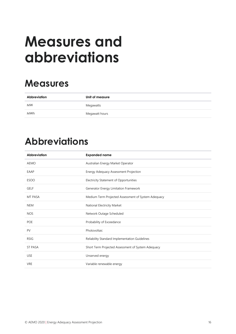# <span id="page-15-0"></span>**Measures and abbreviations**

## **Measures**

| Abbreviation | Unit of measure |
|--------------|-----------------|
| <b>MW</b>    | Megawatts       |
| <b>MWh</b>   | Megawatt hours  |

## **Abbreviations**

| <b>Abbreviation</b> | <b>Expanded name</b>                                |
|---------------------|-----------------------------------------------------|
| <b>AEMO</b>         | Australian Energy Market Operator                   |
| EAAP                | Energy Adequacy Assessment Projection               |
| <b>ESOO</b>         | Electricity Statement of Opportunities              |
| <b>GELF</b>         | Generator Energy Limitation Framework               |
| MT PASA             | Medium Term Projected Assessment of System Adequacy |
| <b>NEM</b>          | National Electricity Market                         |
| <b>NOS</b>          | Network Outage Scheduled                            |
| <b>POE</b>          | Probability of Exceedance                           |
| PV                  | Photovoltaic                                        |
| <b>RSIG</b>         | Reliability Standard Implementation Guidelines      |
| <b>ST PASA</b>      | Short Term Projected Assessment of System Adequacy  |
| <b>USE</b>          | Unserved energy                                     |
| <b>VRE</b>          | Variable renewable energy                           |